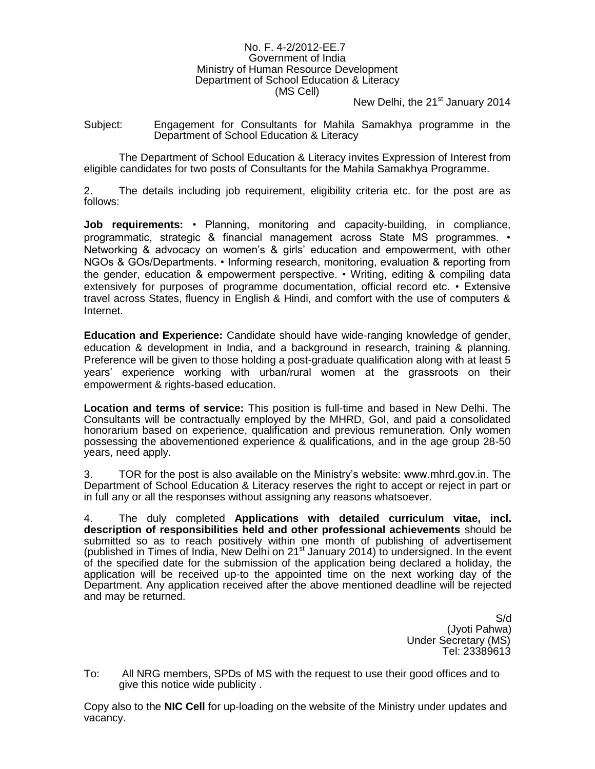### No. F. 4-2/2012-EE.7 Government of India Ministry of Human Resource Development Department of School Education & Literacy (MS Cell)

New Delhi, the 21<sup>st</sup> January 2014

Subject: Engagement for Consultants for Mahila Samakhya programme in the Department of School Education & Literacy

The Department of School Education & Literacy invites Expression of Interest from eligible candidates for two posts of Consultants for the Mahila Samakhya Programme.

2. The details including job requirement, eligibility criteria etc. for the post are as follows:

**Job requirements:** • Planning, monitoring and capacity-building, in compliance, programmatic, strategic & financial management across State MS programmes. • Networking & advocacy on women's & girls' education and empowerment, with other NGOs & GOs/Departments. • Informing research, monitoring, evaluation & reporting from the gender, education & empowerment perspective. • Writing, editing & compiling data extensively for purposes of programme documentation, official record etc. • Extensive travel across States, fluency in English & Hindi, and comfort with the use of computers & Internet.

**Education and Experience:** Candidate should have wide-ranging knowledge of gender, education & development in India, and a background in research, training & planning. Preference will be given to those holding a post-graduate qualification along with at least 5 years' experience working with urban/rural women at the grassroots on their empowerment & rights-based education.

**Location and terms of service:** This position is full-time and based in New Delhi. The Consultants will be contractually employed by the MHRD, GoI, and paid a consolidated honorarium based on experience, qualification and previous remuneration. Only women possessing the abovementioned experience & qualifications, and in the age group 28-50 years, need apply.

3. TOR for the post is also available on the Ministry's website: www.mhrd.gov.in. The Department of School Education & Literacy reserves the right to accept or reject in part or in full any or all the responses without assigning any reasons whatsoever.

4. The duly completed **Applications with detailed curriculum vitae, incl. description of responsibilities held and other professional achievements** should be submitted so as to reach positively within one month of publishing of advertisement (published in Times of India, New Delhi on 21 $^{\text{st}}$  January 2014) to undersigned. In the event of the specified date for the submission of the application being declared a holiday, the application will be received up-to the appointed time on the next working day of the Department. Any application received after the above mentioned deadline will be rejected and may be returned.

> S/d (Jyoti Pahwa) Under Secretary (MS) Tel: 23389613

To: All NRG members, SPDs of MS with the request to use their good offices and to give this notice wide publicity .

Copy also to the **NIC Cell** for up-loading on the website of the Ministry under updates and vacancy.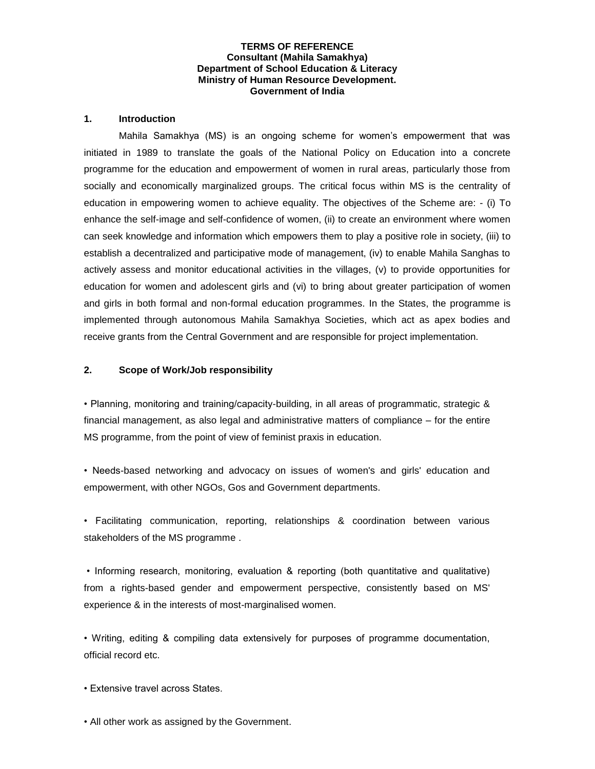### **TERMS OF REFERENCE Consultant (Mahila Samakhya) Department of School Education & Literacy Ministry of Human Resource Development. Government of India**

### **1. Introduction**

Mahila Samakhya (MS) is an ongoing scheme for women's empowerment that was initiated in 1989 to translate the goals of the National Policy on Education into a concrete programme for the education and empowerment of women in rural areas, particularly those from socially and economically marginalized groups. The critical focus within MS is the centrality of education in empowering women to achieve equality. The objectives of the Scheme are: - (i) To enhance the self-image and self-confidence of women, (ii) to create an environment where women can seek knowledge and information which empowers them to play a positive role in society, (iii) to establish a decentralized and participative mode of management, (iv) to enable Mahila Sanghas to actively assess and monitor educational activities in the villages, (v) to provide opportunities for education for women and adolescent girls and (vi) to bring about greater participation of women and girls in both formal and non-formal education programmes. In the States, the programme is implemented through autonomous Mahila Samakhya Societies, which act as apex bodies and receive grants from the Central Government and are responsible for project implementation.

### **2. Scope of Work/Job responsibility**

• Planning, monitoring and training/capacity-building, in all areas of programmatic, strategic & financial management, as also legal and administrative matters of compliance – for the entire MS programme, from the point of view of feminist praxis in education.

• Needs-based networking and advocacy on issues of women's and girls' education and empowerment, with other NGOs, Gos and Government departments.

• Facilitating communication, reporting, relationships & coordination between various stakeholders of the MS programme .

• Informing research, monitoring, evaluation & reporting (both quantitative and qualitative) from a rights-based gender and empowerment perspective, consistently based on MS' experience & in the interests of most-marginalised women.

• Writing, editing & compiling data extensively for purposes of programme documentation, official record etc.

• Extensive travel across States.

• All other work as assigned by the Government.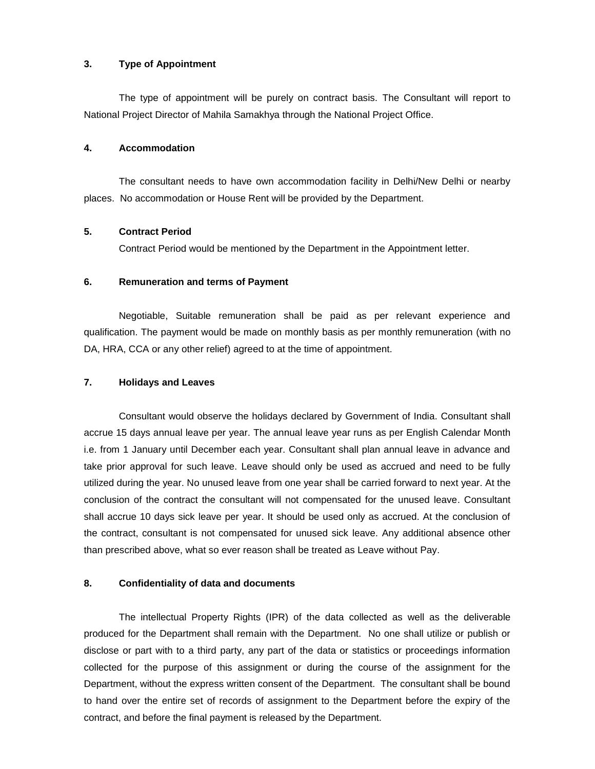## **3. Type of Appointment**

The type of appointment will be purely on contract basis. The Consultant will report to National Project Director of Mahila Samakhya through the National Project Office.

### **4. Accommodation**

The consultant needs to have own accommodation facility in Delhi/New Delhi or nearby places. No accommodation or House Rent will be provided by the Department.

# **5. Contract Period**

Contract Period would be mentioned by the Department in the Appointment letter.

# **6. Remuneration and terms of Payment**

Negotiable, Suitable remuneration shall be paid as per relevant experience and qualification. The payment would be made on monthly basis as per monthly remuneration (with no DA, HRA, CCA or any other relief) agreed to at the time of appointment.

# **7. Holidays and Leaves**

Consultant would observe the holidays declared by Government of India. Consultant shall accrue 15 days annual leave per year. The annual leave year runs as per English Calendar Month i.e. from 1 January until December each year. Consultant shall plan annual leave in advance and take prior approval for such leave. Leave should only be used as accrued and need to be fully utilized during the year. No unused leave from one year shall be carried forward to next year. At the conclusion of the contract the consultant will not compensated for the unused leave. Consultant shall accrue 10 days sick leave per year. It should be used only as accrued. At the conclusion of the contract, consultant is not compensated for unused sick leave. Any additional absence other than prescribed above, what so ever reason shall be treated as Leave without Pay.

### **8. Confidentiality of data and documents**

The intellectual Property Rights (IPR) of the data collected as well as the deliverable produced for the Department shall remain with the Department. No one shall utilize or publish or disclose or part with to a third party, any part of the data or statistics or proceedings information collected for the purpose of this assignment or during the course of the assignment for the Department, without the express written consent of the Department. The consultant shall be bound to hand over the entire set of records of assignment to the Department before the expiry of the contract, and before the final payment is released by the Department.